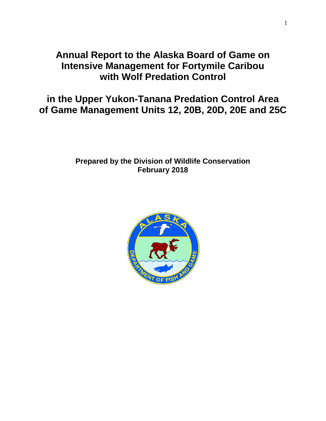# **Annual Report to the Alaska Board of Game on Intensive Management for Fortymile Caribou with Wolf Predation Control**

**in the Upper Yukon-Tanana Predation Control Area of Game Management Units 12, 20B, 20D, 20E and 25C**

## **Prepared by the Division of Wildlife Conservation February 2018**

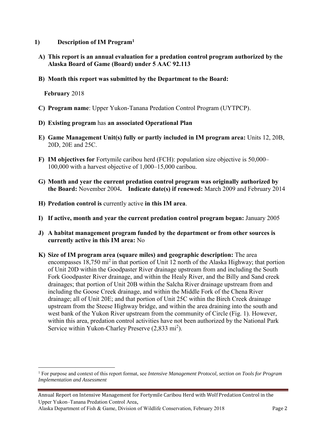- **1) Description of IM Program<sup>1</sup>**
	- **A) This report is an annual evaluation for a predation control program authorized by the Alaska Board of Game (Board) under 5 AAC 92.113**
	- **B) Month this report was submitted by the Department to the Board:**

**February** 2018

 $\overline{a}$ 

- **C) Program name**: Upper Yukon-Tanana Predation Control Program (UYTPCP).
- **D) Existing program** has **an associated Operational Plan**
- **E) Game Management Unit(s) fully or partly included in IM program area:** Units 12, 20B, 20D, 20E and 25C.
- **F) IM objectives for** Fortymile caribou herd (FCH): population size objective is 50,000– 100,000 with a harvest objective of 1,000–15,000 caribou.
- **G) Month and year the current predation control program was originally authorized by the Board:** November 2004**. Indicate date(s) if renewed:** March 2009 and February 2014
- **H) Predation control is** currently active **in this IM area**.
- **I) If active, month and year the current predation control program began:** January 2005
- **J) A habitat management program funded by the department or from other sources is currently active in this IM area:** No
- **K) Size of IM program area (square miles) and geographic description:** The area encompasses  $18,750 \text{ mi}^2$  in that portion of Unit 12 north of the Alaska Highway; that portion of Unit 20D within the Goodpaster River drainage upstream from and including the South Fork Goodpaster River drainage, and within the Healy River, and the Billy and Sand creek drainages; that portion of Unit 20B within the Salcha River drainage upstream from and including the Goose Creek drainage, and within the Middle Fork of the Chena River drainage; all of Unit 20E; and that portion of Unit 25C within the Birch Creek drainage upstream from the Steese Highway bridge, and within the area draining into the south and west bank of the Yukon River upstream from the community of Circle (Fig. 1). However, within this area, predation control activities have not been authorized by the National Park Service within Yukon-Charley Preserve (2,833 mi<sup>2</sup>).

<sup>1</sup> For purpose and context of this report format, see *Intensive Management Protocol, section on Tools for Program Implementation and Assessment*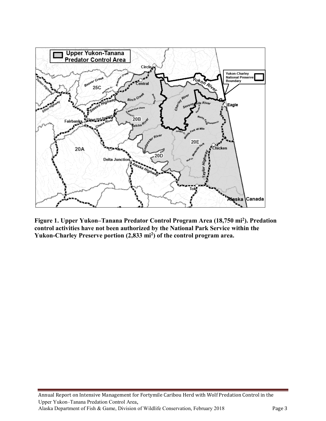

**Figure 1. Upper Yukon–Tanana Predator Control Program Area (18,750 mi<sup>2</sup> ). Predation control activities have not been authorized by the National Park Service within the Yukon-Charley Preserve portion (2,833 mi<sup>2</sup> ) of the control program area.**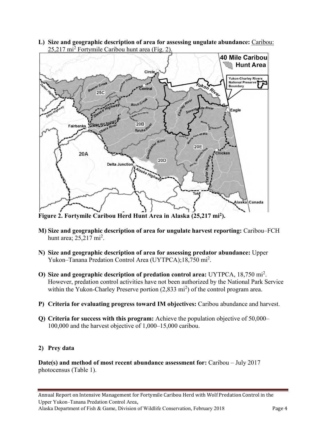**L) Size and geographic description of area for assessing ungulate abundance:** Caribou: 25,217 mi<sup>2</sup> Fortymile Caribou hunt area (Fig. 2).



**Figure 2. Fortymile Caribou Herd Hunt Area in Alaska (25,217 mi<sup>2</sup> ).**

- **M) Size and geographic description of area for ungulate harvest reporting:** Caribou–FCH hunt area;  $25,217 \text{ mi}^2$ .
- **N) Size and geographic description of area for assessing predator abundance:** Upper Yukon–Tanana Predation Control Area (UYTPCA);18,750 mi<sup>2</sup>.
- **O) Size and geographic description of predation control area:** UYTPCA, 18,750 mi<sup>2</sup> . However, predation control activities have not been authorized by the National Park Service within the Yukon-Charley Preserve portion  $(2,833 \text{ mi}^2)$  of the control program area.
- **P) Criteria for evaluating progress toward IM objectives:** Caribou abundance and harvest.
- **Q) Criteria for success with this program:** Achieve the population objective of 50,000– 100,000 and the harvest objective of 1,000–15,000 caribou.

### **2) Prey data**

**Date(s) and method of most recent abundance assessment for:** Caribou – July 2017 photocensus (Table 1).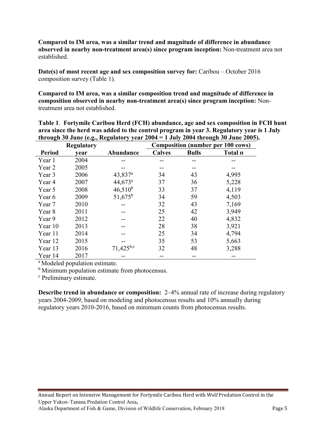**Compared to IM area, was a similar trend and magnitude of difference in abundance observed in nearby non-treatment area(s) since program inception:** Non-treatment area not established.

**Date(s) of most recent age and sex composition survey for:** Caribou – October 2016 composition survey (Table 1).

**Compared to IM area, was a similar composition trend and magnitude of difference in composition observed in nearby non-treatment area(s) since program inception:** Nontreatment area not established.

| through 30 June (e.g., Regulatory year $2004 = 1$ July 2004 through 30 June 2005). |      |                       |                                          |              |         |  |  |  |
|------------------------------------------------------------------------------------|------|-----------------------|------------------------------------------|--------------|---------|--|--|--|
| <b>Regulatory</b>                                                                  |      |                       | <b>Composition (number per 100 cows)</b> |              |         |  |  |  |
| <b>Period</b>                                                                      | year | Abundance             | <b>Calves</b>                            | <b>Bulls</b> | Total n |  |  |  |
| Year 1                                                                             | 2004 |                       |                                          |              |         |  |  |  |
| Year 2                                                                             | 2005 |                       |                                          |              |         |  |  |  |
| Year 3                                                                             | 2006 | $43,837$ <sup>a</sup> | 34                                       | 43           | 4,995   |  |  |  |
| Year 4                                                                             | 2007 | $44,673$ <sup>a</sup> | 37                                       | 36           | 5,228   |  |  |  |
| Year 5                                                                             | 2008 | $46,510^{b}$          | 33                                       | 37           | 4,119   |  |  |  |
| Year 6                                                                             | 2009 | $51,675^b$            | 34                                       | 59           | 4,503   |  |  |  |
| Year 7                                                                             | 2010 |                       | 32                                       | 43           | 7,169   |  |  |  |
| Year 8                                                                             | 2011 |                       | 25                                       | 42           | 3,949   |  |  |  |
| Year 9                                                                             | 2012 |                       | 22                                       | 40           | 4,832   |  |  |  |
| Year 10                                                                            | 2013 |                       | 28                                       | 38           | 3,921   |  |  |  |
| Year 11                                                                            | 2014 |                       | 25                                       | 34           | 4,794   |  |  |  |
| Year 12                                                                            | 2015 |                       | 35                                       | 53           | 5,663   |  |  |  |
| Year 13                                                                            | 2016 | $71,425^{b,c}$        | 32                                       | 48           | 3,288   |  |  |  |
| Year 14                                                                            | 2017 |                       |                                          |              |         |  |  |  |

**Table 1**. **Fortymile Caribou Herd (FCH) abundance, age and sex composition in FCH hunt area since the herd was added to the control program in year 3. Regulatory year is 1 July** 

<sup>a</sup> Modeled population estimate.

<sup>b</sup> Minimum population estimate from photocensus.

<sup>c</sup> Preliminary estimate.

**Describe trend in abundance or composition:** 2–4% annual rate of increase during regulatory years 2004-2009, based on modeling and photocensus results and 10% annually during regulatory years 2010-2016, based on minimum counts from photocensus results.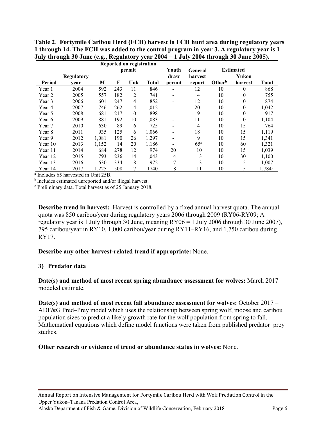**Table 2**. **Fortymile Caribou Herd (FCH) harvest in FCH hunt area during regulatory years 1 through 14. The FCH was added to the control program in year 3. A regulatory year is 1 July through 30 June (e.g., Regulatory year 2004 = 1 July 2004 through 30 June 2005).** 

|         |            | Reported on registration |     |              |              |         |                  |                    |          |                    |
|---------|------------|--------------------------|-----|--------------|--------------|---------|------------------|--------------------|----------|--------------------|
|         |            | permit                   |     |              | Youth        | General | <b>Estimated</b> |                    |          |                    |
|         | Regulatory |                          |     |              |              | draw    | harvest          |                    | Yukon    |                    |
| Period  | vear       | M                        | F   | Unk          | <b>Total</b> | permit  | report           | Other <sup>b</sup> | harvest  | <b>Total</b>       |
| Year 1  | 2004       | 592                      | 243 | 11           | 846          |         | 12               | 10                 | $\theta$ | 868                |
| Year 2  | 2005       | 557                      | 182 | 2            | 741          |         | 4                | 10                 | 0        | 755                |
| Year 3  | 2006       | 601                      | 247 | 4            | 852          |         | 12               | 10                 | 0        | 874                |
| Year 4  | 2007       | 746                      | 262 | 4            | 1,012        |         | 20               | 10                 | 0        | 1,042              |
| Year 5  | 2008       | 681                      | 217 | $\mathbf{0}$ | 898          |         | 9                | 10                 | 0        | 917                |
| Year 6  | 2009       | 881                      | 192 | 10           | 1,083        |         | 11               | 10                 | $\theta$ | 1,104              |
| Year 7  | 2010       | 630                      | 89  | 6            | 725          |         | 4                | 10                 | 15       | 764                |
| Year 8  | 2011       | 935                      | 125 | 6            | 1,066        |         | 18               | 10                 | 15       | 1,119              |
| Year 9  | 2012       | 1,081                    | 190 | 26           | 1,297        |         | 9                | 10                 | 15       | 1,341              |
| Year 10 | 2013       | 1,152                    | 14  | 20           | 1,186        |         | 65 <sup>a</sup>  | 10                 | 60       | 1,321              |
| Year 11 | 2014       | 684                      | 278 | 12           | 974          | 20      | 10               | 10                 | 15       | 1,039              |
| Year 12 | 2015       | 793                      | 236 | 14           | 1,043        | 14      | 3                | 10                 | 30       | 1,100              |
| Year 13 | 2016       | 630                      | 334 | 8            | 972          | 17      | 3                | 10                 | 5        | 1,007              |
| Year 14 | 2017       | 1,225                    | 508 | 7            | 1740         | 18      | 11               | 10                 | 5        | 1,784 <sup>c</sup> |

a Includes 65 harvested in Unit 25B.

<sup>b</sup>Includes estimated unreported and/or illegal harvest.

<sup>c</sup> Preliminary data. Total harvest as of 25 January 2018.

**Describe trend in harvest:** Harvest is controlled by a fixed annual harvest quota. The annual quota was 850 caribou/year during regulatory years 2006 through 2009 (RY06-RY09; A regulatory year is 1 July through 30 June, meaning RY06 = 1 July 2006 through 30 June 2007), 795 caribou/year in RY10, 1,000 caribou/year during RY11–RY16, and 1,750 caribou during RY17.

#### **Describe any other harvest-related trend if appropriate:** None.

#### **3) Predator data**

**Date(s) and method of most recent spring abundance assessment for wolves:** March 2017 modeled estimate.

**Date(s) and method of most recent fall abundance assessment for wolves:** October 2017 – ADF&G Pred–Prey model which uses the relationship between spring wolf, moose and caribou population sizes to predict a likely growth rate for the wolf population from spring to fall. Mathematical equations which define model functions were taken from published predator–prey studies.

#### **Other research or evidence of trend or abundance status in wolves:** None.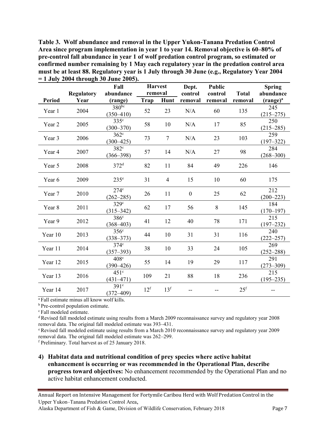**Table 3. Wolf abundance and removal in the Upper Yukon-Tanana Predation Control Area since program implementation in year 1 to year 14. Removal objective is 60–80% of pre-control fall abundance in year 1 of wolf predation control program, so estimated or confirmed number remaining by 1 May each regulatory year in the predation control area must be at least 88. Regulatory year is 1 July through 30 June (e.g., Regulatory Year 2004 = 1 July 2004 through 30 June 2005).**

|         | <b>Regulatory</b> | Fall<br>abundance                 | <b>Harvest</b><br>removal |                 | Dept.<br>control | Public<br>control | <b>Total</b>    | <b>Spring</b><br>abundance |
|---------|-------------------|-----------------------------------|---------------------------|-----------------|------------------|-------------------|-----------------|----------------------------|
| Period  | Year              | (range)                           | Trap                      | Hunt            | removal          | removal           | removal         | $(range)^{a}$              |
| Year 1  | 2004              | $380^{bc}$<br>$(350 - 410)$       | 52                        | 23              | N/A              | 60                | 135             | 245<br>$(215 - 275)$       |
| Year 2  | 2005              | 335 <sup>c</sup><br>$(300 - 370)$ | 58                        | 10              | N/A              | 17                | 85              | 250<br>$(215 - 285)$       |
| Year 3  | 2006              | $362^{\circ}$<br>$(300 - 425)$    | 73                        | $\tau$          | N/A              | 23                | 103             | 259<br>$(197 - 322)$       |
| Year 4  | 2007              | 382 <sup>c</sup><br>$(366 - 398)$ | 57                        | 14              | N/A              | 27                | 98              | 284<br>$(268 - 300)$       |
| Year 5  | 2008              | 372 <sup>d</sup>                  | 82                        | 11              | 84               | 49                | 226             | 146                        |
| Year 6  | 2009              | 235 <sup>e</sup>                  | 31                        | $\overline{4}$  | 15               | 10                | 60              | 175                        |
| Year 7  | 2010              | $274^\circ$<br>$(262 - 285)$      | 26                        | 11              | $\mathbf{0}$     | 25                | 62              | 212<br>$(200 - 223)$       |
| Year 8  | 2011              | 329 <sup>c</sup><br>$(315 - 342)$ | 62                        | 17              | 56               | 8                 | 145             | 184<br>$(170 - 197)$       |
| Year 9  | 2012              | 386 <sup>c</sup><br>$(368 - 403)$ | 41                        | 12              | 40               | 78                | 171             | 215<br>$(197 - 232)$       |
| Year 10 | 2013              | 356 <sup>c</sup><br>$(338 - 373)$ | 44                        | 10              | 31               | 31                | 116             | 240<br>$(222 - 257)$       |
| Year 11 | 2014              | 374 <sup>c</sup><br>$(357 - 393)$ | 38                        | 10              | 33               | 24                | 105             | 269<br>$(252 - 288)$       |
| Year 12 | 2015              | 408 <sup>c</sup><br>$(390 - 426)$ | 55                        | 14              | 19               | 29                | 117             | 291<br>$(273 - 309)$       |
| Year 13 | 2016              | $451^\circ$<br>$(431 - 471)$      | 109                       | 21              | 88               | 18                | 236             | 215<br>$(195 - 235)$       |
| Year 14 | 2017              | $391^\circ$<br>$(372 - 409)$      | 12 <sup>f</sup>           | 13 <sup>f</sup> |                  |                   | 25 <sup>f</sup> |                            |

<sup>a</sup>Fall estimate minus all know wolf kills.

**b** Pre-control population estimate.

<sup>c</sup>Fall modeled estimate.

<sup>d</sup> Revised fall modeled estimate using results from a March 2009 reconnaissance survey and regulatory year 2008 removal data. The original fall modeled estimate was 393–431.

<sup>e</sup> Revised fall modeled estimate using results from a March 2010 reconnaissance survey and regulatory year 2009 removal data. The original fall modeled estimate was 262–299.

<sup>f</sup> Preliminary. Total harvest as of 25 January 2018.

**4) Habitat data and nutritional condition of prey species where active habitat enhancement is occurring or was recommended in the Operational Plan, describe progress toward objectives:** No enhancement recommended by the Operational Plan and no active habitat enhancement conducted.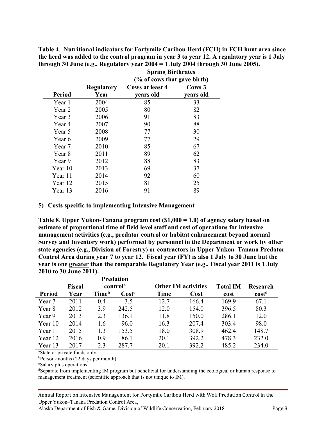**Table 4**. **Nutritional indicators for Fortymile Caribou Herd (FCH) in FCH hunt area since the herd was added to the control program in year 3 to year 12. A regulatory year is 1 July through 30 June (e.g., Regulatory year 2004 = 1 July 2004 through 30 June 2005).**

|               |                   | <b>Spring Birthrates</b>    |           |  |  |  |
|---------------|-------------------|-----------------------------|-----------|--|--|--|
|               |                   | (% of cows that gave birth) |           |  |  |  |
|               | <b>Regulatory</b> | <b>Cows at least 4</b>      | Cows 3    |  |  |  |
| <b>Period</b> | Year              | vears old                   | years old |  |  |  |
| Year 1        | 2004              | 85                          | 33        |  |  |  |
| Year 2        | 2005              | 80                          | 82        |  |  |  |
| Year 3        | 2006              | 91                          | 83        |  |  |  |
| Year 4        | 2007              | 90                          | 88        |  |  |  |
| Year 5        | 2008              | 77                          | 30        |  |  |  |
| Year 6        | 2009              | 77                          | 29        |  |  |  |
| Year 7        | 2010              | 85                          | 67        |  |  |  |
| Year 8        | 2011              | 89                          | 62        |  |  |  |
| Year 9        | 2012              | 88                          | 83        |  |  |  |
| Year 10       | 2013              | 69                          | 37        |  |  |  |
| Year 11       | 2014              | 92                          | 60        |  |  |  |
| Year 12       | 2015              | 81                          | 25        |  |  |  |
| Year 13       | 2016              | 91                          | 89        |  |  |  |

#### **5) Costs specific to implementing Intensive Management**

**Table 8**. **Upper Yukon-Tanana program cost (\$1,000 = 1.0) of agency salary based on estimate of proportional time of field level staff and cost of operations for intensive management activities (e.g., predator control or habitat enhancement beyond normal Survey and Inventory work) performed by personnel in the Department or work by other state agencies (e.g., Division of Forestry) or contractors in Upper Yukon–Tanana Predator Control Area during year 7 to year 12. Fiscal year (FY) is also 1 July to 30 June but the year is one greater than the comparable Regulatory Year (e.g., Fiscal year 2011 is 1 July 2010 to 30 June 2011).** 

|               |               |                          | <b>Predation</b> |                            |       |                 |                   |
|---------------|---------------|--------------------------|------------------|----------------------------|-------|-----------------|-------------------|
|               | <b>Fiscal</b> | control <sup>a</sup>     |                  | <b>Other IM activities</b> |       | <b>Total IM</b> | Research          |
| <b>Period</b> | Year          | <b>Time</b> <sup>b</sup> | $\text{Cost}^c$  | Time                       | Cost  | cost            | cost <sup>d</sup> |
| Year 7        | 2011          | 0.4                      | 3.5              | 12.7                       | 166.4 | 169.9           | 67.1              |
| Year 8        | 2012          | 3.9                      | 242.5            | 12.0                       | 154.0 | 396.5           | 80.3              |
| Year 9        | 2013          | 2.3                      | 136.1            | 11.8                       | 150.0 | 286.1           | 12.0              |
| Year 10       | 2014          | 1.6                      | 96.0             | 16.3                       | 207.4 | 303.4           | 98.0              |
| Year 11       | 2015          | 1.3                      | 153.5            | 18.0                       | 308.9 | 462.4           | 148.7             |
| Year 12       | 2016          | 0.9                      | 86.1             | 20.1                       | 392.2 | 478.3           | 232.0             |
| Year 13       | 2017          | 23                       | 287.7            | 20.1                       | 392.2 | 485.2           | 234.0             |

<sup>a</sup>State or private funds only.

 $b$ Person-months (22 days per month)

<sup>c</sup>Salary plus operations

dSeparate from implementing IM program but beneficial for understanding the ecological or human response to management treatment (scientific approach that is not unique to IM).

Annual Report on Intensive Management for Fortymile Caribou Herd with Wolf Predation Control in the Upper Yukon–Tanana Predation Control Area,

Alaska Department of Fish & Game, Division of Wildlife Conservation, February 2018 Page 8